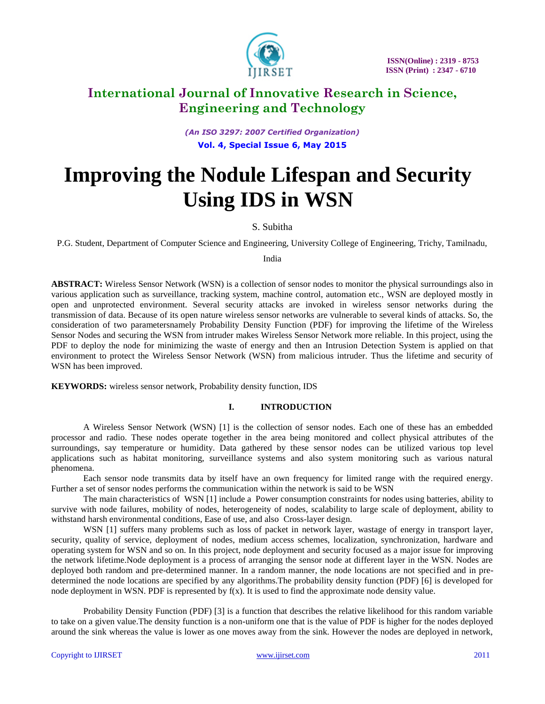

*(An ISO 3297: 2007 Certified Organization)* **Vol. 4, Special Issue 6, May 2015**

# **Improving the Nodule Lifespan and Security Using IDS in WSN**

### S. Subitha

P.G. Student, Department of Computer Science and Engineering, University College of Engineering, Trichy, Tamilnadu,

India

**ABSTRACT:** Wireless Sensor Network (WSN) is a collection of sensor nodes to monitor the physical surroundings also in various application such as surveillance, tracking system, machine control, automation etc., WSN are deployed mostly in open and unprotected environment. Several security attacks are invoked in wireless sensor networks during the transmission of data. Because of its open nature wireless sensor networks are vulnerable to several kinds of attacks. So, the consideration of two parametersnamely Probability Density Function (PDF) for improving the lifetime of the Wireless Sensor Nodes and securing the WSN from intruder makes Wireless Sensor Network more reliable. In this project, using the PDF to deploy the node for minimizing the waste of energy and then an Intrusion Detection System is applied on that environment to protect the Wireless Sensor Network (WSN) from malicious intruder. Thus the lifetime and security of WSN has been improved.

**KEYWORDS:** wireless sensor network, Probability density function, IDS

### **I. INTRODUCTION**

A Wireless Sensor Network (WSN) [1] is the collection of sensor nodes. Each one of these has an embedded processor and radio. These nodes operate together in the area being monitored and collect physical attributes of the surroundings, say temperature or humidity. Data gathered by these sensor nodes can be utilized various top level applications such as habitat monitoring, surveillance systems and also system monitoring such as various natural phenomena.

Each sensor node transmits data by itself have an own frequency for limited range with the required energy. Further a set of sensor nodes performs the communication within the network is said to be WSN

The main characteristics of WSN [1] include a Power consumption constraints for nodes using batteries, ability to survive with node failures, mobility of nodes, heterogeneity of nodes, [scalability](http://en.wikipedia.org/wiki/Scalability) to large scale of deployment, ability to withstand harsh environmental conditions, Ease of use, and also [Cross-layer](http://en.wikipedia.org/w/index.php?title=Cross-layer&action=edit&redlink=1) design.

WSN [1] suffers many problems such as loss of packet in network layer, wastage of energy in transport layer, security, quality of service, deployment of nodes, medium access schemes, localization, synchronization, hardware and operating system for WSN and so on. In this project, node deployment and security focused as a major issue for improving the network lifetime.Node deployment is a process of arranging the sensor node at different layer in the WSN. Nodes are deployed both random and pre-determined manner. In a random manner, the node locations are not specified and in predetermined the node locations are specified by any algorithms.The probability density function (PDF) [6] is developed for node deployment in WSN. PDF is represented by  $f(x)$ . It is used to find the approximate node density value.

Probability Density Function (PDF) [3] is a function that describes the relative likelihood for this random variable to take on a given value.The density function is a non-uniform one that is the value of PDF is higher for the nodes deployed around the sink whereas the value is lower as one moves away from the sink. However the nodes are deployed in network,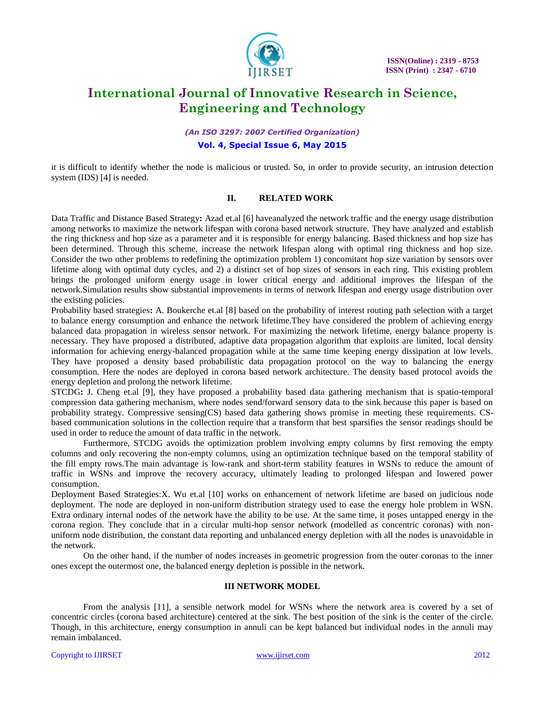

### *(An ISO 3297: 2007 Certified Organization)* **Vol. 4, Special Issue 6, May 2015**

it is difficult to identify whether the node is malicious or trusted. So, in order to provide security, an intrusion detection system (IDS) [4] is needed.

### **II. RELATED WORK**

Data Traffic and Distance Based Strategy**:** Azad et.al [6] haveanalyzed the network traffic and the energy usage distribution among networks to maximize the network lifespan with corona based network structure. They have analyzed and establish the ring thickness and hop size as a parameter and it is responsible for energy balancing. Based thickness and hop size has been determined. Through this scheme, increase the network lifespan along with optimal ring thickness and hop size. Consider the two other problems to redefining the optimization problem 1) concomitant hop size variation by sensors over lifetime along with optimal duty cycles, and 2) a distinct set of hop sizes of sensors in each ring. This existing problem brings the prolonged uniform energy usage in lower critical energy and additional improves the lifespan of the network.Simulation results show substantial improvements in terms of network lifespan and energy usage distribution over the existing policies.

Probability based strategies**:** A. Boukerche et.al [8] based on the probability of interest routing path selection with a target to balance energy consumption and enhance the network lifetime.They have considered the problem of achieving energy balanced data propagation in wireless sensor network. For maximizing the network lifetime, energy balance property is necessary. They have proposed a distributed, adaptive data propagation algorithm that exploits are limited, local density information for achieving energy-balanced propagation while at the same time keeping energy dissipation at low levels. They have proposed a density based probabilistic data propagation protocol on the way to balancing the energy consumption. Here the nodes are deployed in corona based network architecture. The density based protocol avoids the energy depletion and prolong the network lifetime.

STCDG**:** J. Cheng et.al [9], they have proposed a probability based data gathering mechanism that is spatio-temporal compression data gathering mechanism, where nodes send/forward sensory data to the sink because this paper is based on probability strategy. Compressive sensing(CS) based data gathering shows promise in meeting these requirements. CSbased communication solutions in the collection require that a transform that best sparsifies the sensor readings should be used in order to reduce the amount of data traffic in the network.

Furthermore, STCDG avoids the optimization problem involving empty columns by first removing the empty columns and only recovering the non-empty columns, using an optimization technique based on the temporal stability of the fill empty rows.The main advantage is low-rank and short-term stability features in WSNs to reduce the amount of traffic in WSNs and improve the recovery accuracy, ultimately leading to prolonged lifespan and lowered power consumption.

Deployment Based Strategies:X. Wu et.al [10] works on enhancement of network lifetime are based on judicious node deployment. The node are deployed in non-uniform distribution strategy used to ease the energy hole problem in WSN. Extra ordinary internal nodes of the network have the ability to be use. At the same time, it poses untapped energy in the corona region. They conclude that in a circular multi-hop sensor network (modelled as concentric coronas) with nonuniform node distribution, the constant data reporting and unbalanced energy depletion with all the nodes is unavoidable in the network.

On the other hand, if the number of nodes increases in geometric progression from the outer coronas to the inner ones except the outermost one, the balanced energy depletion is possible in the network.

#### **III NETWORK MODEL**

From the analysis [11], a sensible network model for WSNs where the network area is covered by a set of concentric circles (corona based architecture) centered at the sink. The best position of the sink is the center of the circle. Though, in this architecture, energy consumption in annuli can be kept balanced but individual nodes in the annuli may remain imbalanced.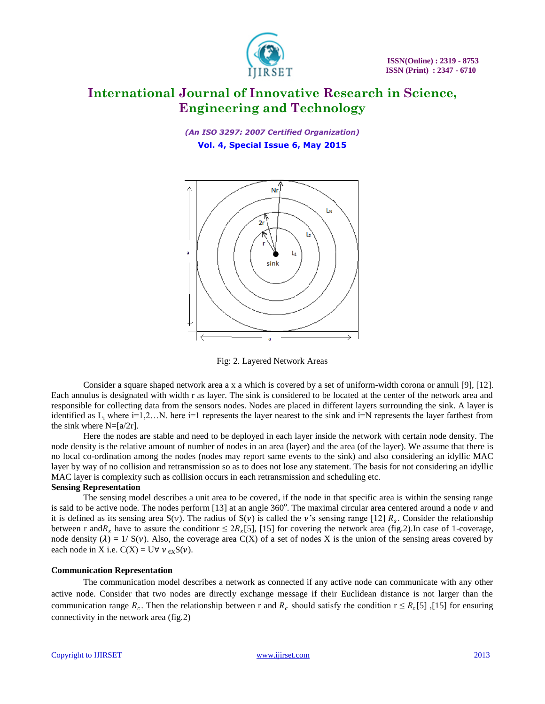

*(An ISO 3297: 2007 Certified Organization)* **Vol. 4, Special Issue 6, May 2015**



Fig: 2. Layered Network Areas

Consider a square shaped network area a x a which is covered by a set of uniform-width corona or annuli [9], [12]. Each annulus is designated with width r as layer. The sink is considered to be located at the center of the network area and responsible for collecting data from the sensors nodes. Nodes are placed in different layers surrounding the sink. A layer is identified as  $L_i$  where  $i=1,2...N$ . here  $i=1$  represents the layer nearest to the sink and  $i=N$  represents the layer farthest from the sink where  $N=[a/2r]$ .

Here the nodes are stable and need to be deployed in each layer inside the network with certain node density. The node density is the relative amount of number of nodes in an area (layer) and the area (of the layer). We assume that there is no local co-ordination among the nodes (nodes may report same events to the sink) and also considering an idyllic MAC layer by way of no collision and retransmission so as to does not lose any statement. The basis for not considering an idyllic MAC layer is complexity such as collision occurs in each retransmission and scheduling etc.

#### **Sensing Representation**

The sensing model describes a unit area to be covered, if the node in that specific area is within the sensing range is said to be active node. The nodes perform [13] at an angle  $360^\circ$ . The maximal circular area centered around a node  $\nu$  and it is defined as its sensing area  $S(v)$ . The radius of  $S(v)$  is called the v's sensing range [12]  $R_s$ . Consider the relationship between r and  $R_s$  have to assure the conditionr  $\leq 2R_s[5]$ , [15] for covering the network area (fig.2). In case of 1-coverage, node density ( $\lambda$ ) = 1/ S( $\nu$ ). Also, the coverage area C(X) of a set of nodes X is the union of the sensing areas covered by each node in X i.e.  $C(X) = U \forall v_{\text{EX}} S(v)$ .

#### **Communication Representation**

The communication model describes a network as connected if any active node can communicate with any other active node. Consider that two nodes are directly exchange message if their Euclidean distance is not larger than the communication range  $R_c$ . Then the relationship between r and  $R_c$  should satisfy the condition  $r \le R_c[5]$ , [15] for ensuring connectivity in the network area (fig.2)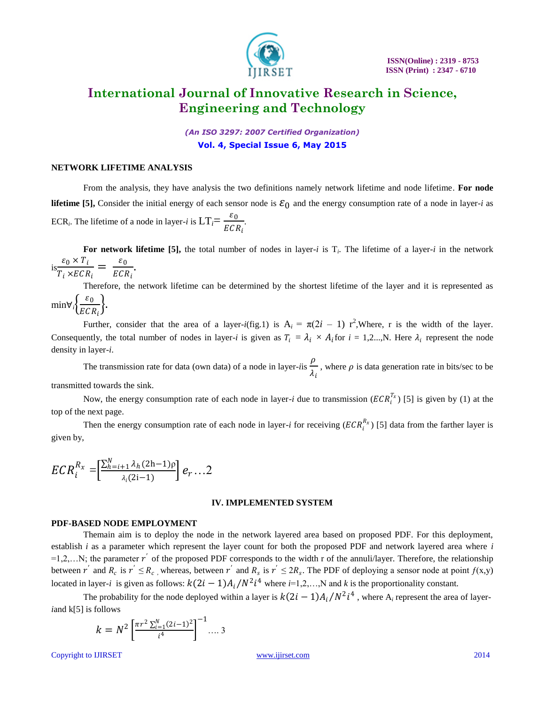

*(An ISO 3297: 2007 Certified Organization)* **Vol. 4, Special Issue 6, May 2015**

#### **NETWORK LIFETIME ANALYSIS**

From the analysis, they have analysis the two definitions namely network lifetime and node lifetime. **For node lifetime** [5], Consider the initial energy of each sensor node is  $\mathcal{E}_0$  and the energy consumption rate of a node in layer-*i* as ECR<sub>*i*</sub>. The lifetime of a node in layer-*i* is  $LT_i = \frac{\varepsilon_0}{\varepsilon}$  $\frac{1}{ECR_i}$ .

For network lifetime [5], the total number of nodes in layer-*i* is  $T_i$ . The lifetime of a layer-*i* in the network  $i s \frac{\varepsilon_0 \times T_i}{T}$  $\frac{\varepsilon_0 \times T_i}{T_i \times ECR_i} = \frac{\varepsilon_0}{ECI}$  $_{ECR_i}$ .

Therefore, the network lifetime can be determined by the shortest lifetime of the layer and it is represented as min∀<sub>*i*</sub> $\left\{ \frac{\varepsilon_0}{E G} \right\}$  $\frac{\varepsilon_0}{ECR_i}$ .

Further, consider that the area of a layer-*i*(fig.1) is  $A_i = \pi(2i - 1) r^2$ , Where, r is the width of the layer. Consequently, the total number of nodes in layer-*i* is given as  $T_i = \lambda_i \times A_i$  for  $i = 1, 2, ..., N$ . Here  $\lambda_i$  represent the node density in layer-*i*.

The transmission rate for data (own data) of a node in layer-*i*is  $\rho$  $\frac{\mu}{\lambda_i}$ , where  $\rho$  is data generation rate in bits/sec to be transmitted towards the sink.

Now, the energy consumption rate of each node in layer-*i* due to transmission  $(ECR_i^{T_x})$  [5] is given by (1) at the top of the next page.

Then the energy consumption rate of each node in layer-*i* for receiving  $(ECR_i^{R_x})$  [5] data from the farther layer is given by,

$$
ECR_i^{R_x} = \left[\frac{\sum_{h=i+1}^{N} \lambda_h (2h-1)\rho}{\lambda_i (2i-1)}\right] e_r \ldots 2
$$

#### **IV. IMPLEMENTED SYSTEM**

#### **PDF-BASED NODE EMPLOYMENT**

Themain aim is to deploy the node in the network layered area based on proposed PDF. For this deployment, establish *i* as a parameter which represent the layer count for both the proposed PDF and network layered area where *i*  $=1,2,...N$ ; the parameter r<sup>'</sup> of the proposed PDF corresponds to the width r of the annuli/layer. Therefore, the relationship between r' and  $R_c$  is  $r' \leq R_c$ , whereas, between r' and  $R_s$  is  $r' \leq 2R_s$ . The PDF of deploying a sensor node at point  $f(x,y)$ located in layer-*i* is given as follows:  $k(2i - 1)A_i/N^2i^4$  where  $i=1,2,...,N$  and k is the proportionality constant.

The probability for the node deployed within a layer is  $k(2i-1)A_i/N^2i^4$  , where A<sub>i</sub> represent the area of layer*i*and k[5] is follows

$$
k = N^2 \left[ \frac{\pi r^2 \sum_{i=1}^{N} (2i-1)^2}{i^4} \right]^{-1} \dots 3
$$

Copyright to IJIRSET [www.ijirset.com](http://www.ijirset.com/) 2014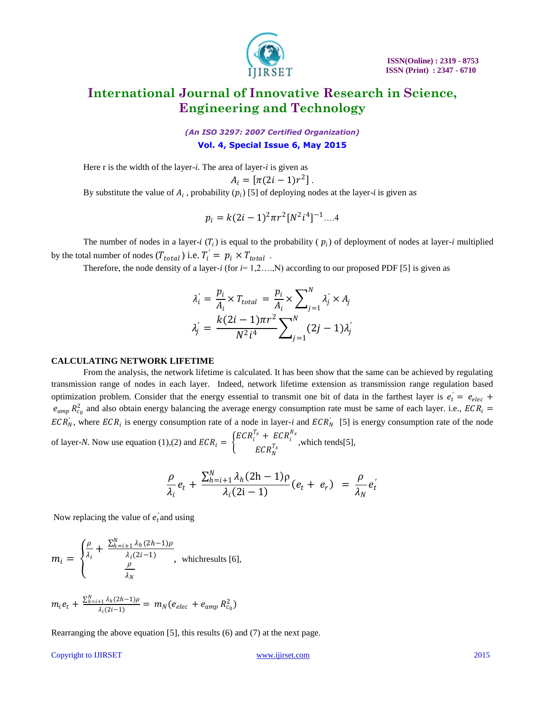

*(An ISO 3297: 2007 Certified Organization)* **Vol. 4, Special Issue 6, May 2015**

Here r is the width of the layer-*i*. The area of layer-*i* is given as

$$
A_i = \left[ \pi (2i - 1)r^2 \right].
$$

By substitute the value of  $A_i$ , probability  $(p_i)$  [5] of deploying nodes at the layer-*i* is given as

$$
p_i = k(2i-1)^2 \pi r^2 [N^2 i^4]^{-1} \dots 4
$$

The number of nodes in a layer-*i*  $(T_i)$  is equal to the probability ( $p_i$ ) of deployment of nodes at layer-*i* multiplied by the total number of nodes  $(T_{total})$  i.e.  $T_i' = p_i \times T_{total}$ .

Therefore, the node density of a layer-*i* (for  $i=1,2,...,N$ ) according to our proposed PDF [5] is given as

$$
\lambda_i' = \frac{p_i}{A_i} \times T_{total} = \frac{p_i}{A_i} \times \sum_{j=1}^N \lambda_j' \times A_j
$$

$$
\lambda_j' = \frac{k(2i-1)\pi r^2}{N^2 i^4} \sum_{j=1}^N (2j-1)\lambda_j'
$$

#### **CALCULATING NETWORK LIFETIME**

From the analysis, the network lifetime is calculated. It has been show that the same can be achieved by regulating transmission range of nodes in each layer. Indeed, network lifetime extension as transmission range regulation based optimization problem. Consider that the energy essential to transmit one bit of data in the farthest layer is  $e_t = e_{elec}$  +  $e_{amp} R_{c_0}^2$  and also obtain energy balancing the average energy consumption rate must be same of each layer. i.e.,  $ECR_i =$  $ECR_N^{'},$  where  $ECR_i$  is energy consumption rate of a node in layer-*i* and  $ECR_N^{'}$  [5] is energy consumption rate of the node of layer-*N*. Now use equation (1),(2) and  $ECR_i = \begin{cases} ECR_i^{T_x} + ECR_i^{R_x} \ ECR_i^{T_x} \end{cases}$  $ECR_N^{T_X}$ , which tends[5],

$$
\frac{\rho}{\lambda_i}e_t + \frac{\sum_{h=i+1}^N \lambda_h (2h-1)\rho}{\lambda_i (2i-1)}(e_t + e_r) = \frac{\rho}{\lambda_N}e_t'
$$

Now replacing the value of  $e'_i$  and using

$$
m_{i} = \begin{cases} \frac{\rho}{\lambda_{i}} + \frac{\sum_{h=i+1}^{N} \lambda_{h}(2h-1)\rho}{\lambda_{i}(2i-1)}, & \text{which results [6],} \\ \frac{\rho}{\lambda_{N}} \end{cases}
$$

$$
m_i e_t + \frac{\sum_{h=i+1}^{N} \lambda_h (2h-1)\rho}{\lambda_i (2i-1)} = m_N (e_{elec} + e_{amp} R_{c_0}^2)
$$

Rearranging the above equation [5], this results (6) and (7) at the next page.

#### Copyright to IJIRSET [www.ijirset.com](http://www.ijirset.com/) 2015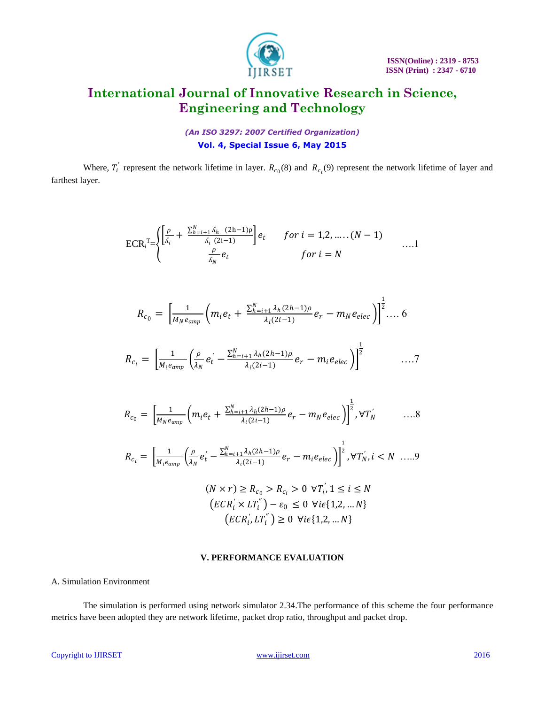

*(An ISO 3297: 2007 Certified Organization)* **Vol. 4, Special Issue 6, May 2015**

Where,  $T_i'$  represent the network lifetime in layer.  $R_{c_0}(8)$  and  $R_{c_i}(9)$  represent the network lifetime of layer and farthest layer.

$$
\text{ECR}_{i}^{\text{T}} = \n\begin{cases}\n\left[\frac{\rho}{\Delta_{i}} + \frac{\sum_{h=i+1}^{N} \Delta_{h} (2\mathbf{h}-1)\rho}{\Delta_{i} (2\mathbf{i}-1)}\right] e_{t} & \text{for } i = 1, 2, \dots, (N-1) \\
\frac{\rho}{\Delta_{N}} e_{t} & \text{for } i = N\n\end{cases} \dots 1
$$

$$
R_{c_0} = \left[\frac{1}{M_N e_{amp}} \left(m_i e_t + \frac{\sum_{h=i+1}^N \lambda_h (2h-1)\rho}{\lambda_i (2i-1)} e_r - m_N e_{elec}\right)\right]^{\frac{1}{2}} \dots 6
$$

$$
R_{c_i} = \left[\frac{1}{M_i e_{amp}} \left(\frac{\rho}{\lambda_N} e'_t - \frac{\sum_{h=i+1}^N \lambda_h (2h-1)\rho}{\lambda_i (2i-1)} e_r - m_i e_{elec}\right)\right]^{\frac{1}{2}} \quad \ldots \, .
$$

$$
R_{c_0} = \left[\frac{1}{M_N e_{amp}} \left(m_i e_t + \frac{\sum_{h=i+1}^N \lambda_h (2h-1)\rho}{\lambda_i (2i-1)} e_r - m_N e_{elec}\right)\right]^{\frac{1}{2}}, \forall T_N' \quad \dots 8
$$

$$
R_{c_i} = \left[\frac{1}{M_i e_{amp}} \left(\frac{\rho}{\lambda_N} e_t' - \frac{\sum_{h=i+1}^N \lambda_h (2h-1)\rho}{\lambda_i (2i-1)} e_r - m_i e_{elec}\right)\right]^{\frac{1}{2}}, \forall T_N', i < N \ \ldots.9
$$

$$
(N \times r) \ge R_{c_0} > R_{c_i} > 0 \ \forall T'_i, 1 \le i \le N
$$
  
\n
$$
(ECR'_i \times LT''_i) - \varepsilon_0 \le 0 \ \forall i \in \{1, 2, \dots N\}
$$
  
\n
$$
(ECR'_i, LT''_i) \ge 0 \ \forall i \in \{1, 2, \dots N\}
$$

### **V. PERFORMANCE EVALUATION**

#### A. Simulation Environment

The simulation is performed using network simulator 2.34.The performance of this scheme the four performance metrics have been adopted they are network lifetime, packet drop ratio, throughput and packet drop.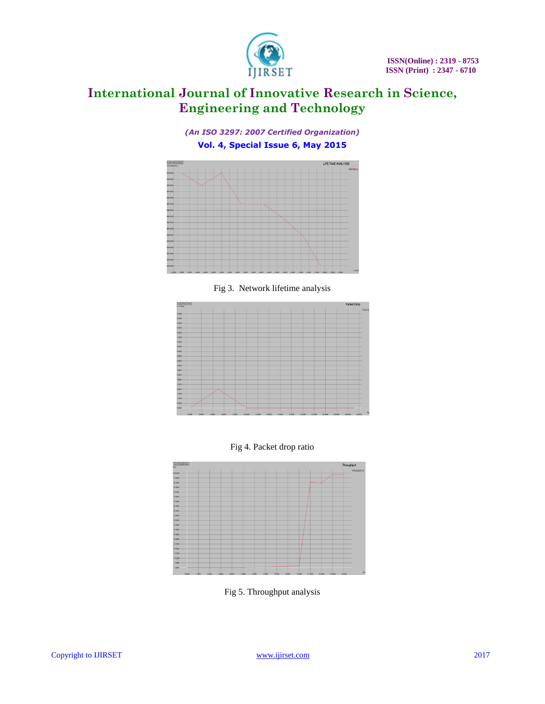





Fig 3. Network lifetime analysis







Fig 5. Throughput analysis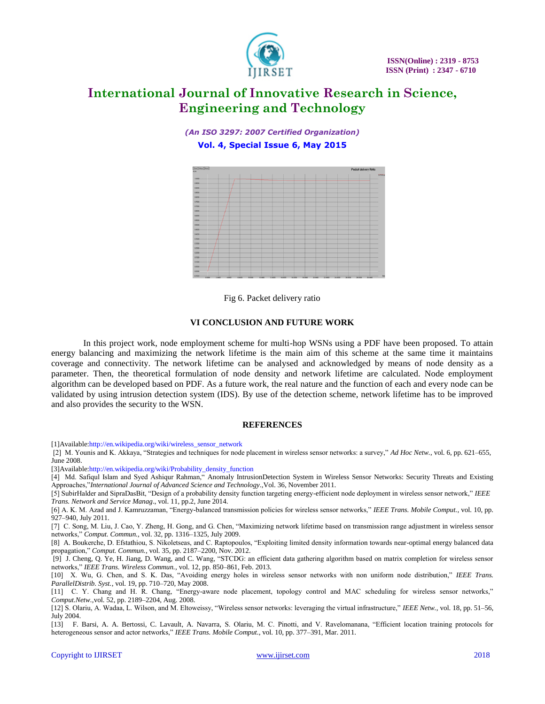

*(An ISO 3297: 2007 Certified Organization)* **Vol. 4, Special Issue 6, May 2015**



Fig 6. Packet delivery ratio

### **VI CONCLUSION AND FUTURE WORK**

In this project work, node employment scheme for multi-hop WSNs using a PDF have been proposed. To attain energy balancing and maximizing the network lifetime is the main aim of this scheme at the same time it maintains coverage and connectivity. The network lifetime can be analysed and acknowledged by means of node density as a parameter. Then, the theoretical formulation of node density and network lifetime are calculated. Node employment algorithm can be developed based on PDF. As a future work, the real nature and the function of each and every node can be validated by using intrusion detection system (IDS). By use of the detection scheme, network lifetime has to be improved and also provides the security to the WSN.

#### **REFERENCES**

[1]Availabl[e:http://en.wikipedia.org/wiki/wireless\\_sensor\\_network](http://en.wikipedia.org/wiki/wireless_sensor_network)

[2] M. Younis and K. Akkaya, "Strategies and techniques for node placement in wireless sensor networks: a survey," *Ad Hoc Netw.*, vol. 6, pp. 621–655, June 2008.

[3]Availabl[e:http://en.wikipedia.org/wiki/Probability\\_density\\_function](http://en.wikipedia.org/wiki/Probability_density_function)

[4] Md. Safiqul Islam and Syed Ashiqur Rahman," Anomaly IntrusionDetection System in Wireless Sensor Networks: Security Threats and Existing Approaches,"*International Journal of Advanced Science and Technology.*,Vol. 36, November 2011.

[5] SubirHalder and SipraDasBit, "Design of a probability density function targeting energy-efficient node deployment in wireless sensor network," *IEEE Trans. Network and Service Manag*., vol. 11, pp.2, June 2014.

[6] A. K. M. Azad and J. Kamruzzaman, "Energy-balanced transmission policies for wireless sensor networks," *IEEE Trans. Mobile Comput.*, vol. 10, pp. 927–940, July 2011.

[7] C. Song, M. Liu, J. Cao, Y. Zheng, H. Gong, and G. Chen, "Maximizing network lifetime based on transmission range adjustment in wireless sensor networks," *Comput. Commun.*, vol. 32, pp. 1316–1325, July 2009.

[8] A. Boukerche, D. Efstathiou, S. Nikoletseas, and C. Raptopoulos, "Exploiting limited density information towards near-optimal energy balanced data propagation," *Comput. Commun.*, vol. 35, pp. 2187–2200, Nov. 2012.

[9] J. Cheng, Q. Ye, H. Jiang, D. Wang, and C. Wang, "STCDG: an efficient data gathering algorithm based on matrix completion for wireless sensor networks," *IEEE Trans. Wireless Commun.*, vol. 12, pp. 850–861, Feb. 2013.

[10] X. Wu, G. Chen, and S. K. Das, "Avoiding energy holes in wireless sensor networks with non uniform node distribution," *IEEE Trans. ParallelDistrib. Syst.*, vol. 19, pp. 710–720, May 2008.

[11] C. Y. Chang and H. R. Chang, "Energy-aware node placement, topology control and MAC scheduling for wireless sensor networks," *Comput.Netw.,*vol. 52, pp. 2189–2204, Aug. 2008.

[12] S. Olariu, A. Wadaa, L. Wilson, and M. Eltoweissy, "Wireless sensor networks: leveraging the virtual infrastructure," *IEEE Netw.*, vol. 18, pp. 51–56, July 2004.

[13] F. Barsi, A. A. Bertossi, C. Lavault, A. Navarra, S. Olariu, M. C. Pinotti, and V. Ravelomanana, "Efficient location training protocols for heterogeneous sensor and actor networks," *IEEE Trans. Mobile Comput.*, vol. 10, pp. 377–391, Mar. 2011.